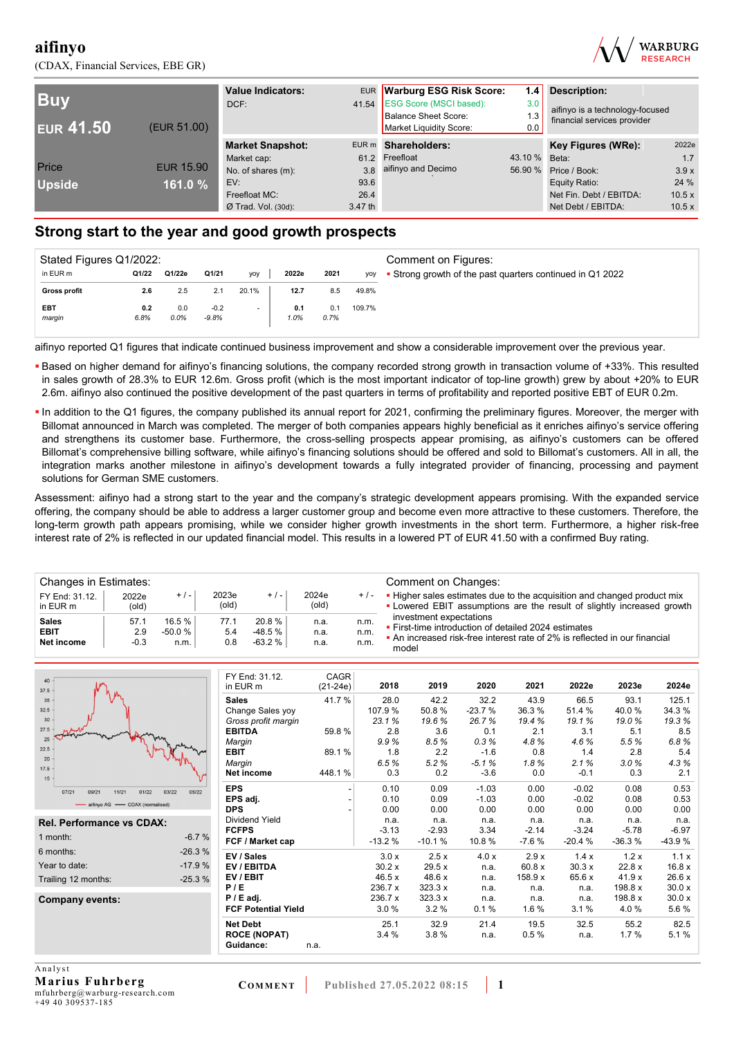(CDAX, Financial Services, EBE GR)



| <b>Buv</b><br><b>EUR 41.50</b> | (EUR 51.00)      | <b>Value Indicators:</b><br>DCF: |         | EUR Warburg ESG Risk Score:<br>41.54 ESG Score (MSCI based):<br><b>Balance Sheet Score:</b><br>Market Liquidity Score: | <b>Description:</b><br>1.4<br>3.0<br>1.3<br>0.0 |                         | aifinyo is a technology-focused |
|--------------------------------|------------------|----------------------------------|---------|------------------------------------------------------------------------------------------------------------------------|-------------------------------------------------|-------------------------|---------------------------------|
|                                |                  | <b>Market Snapshot:</b>          |         | EUR m Shareholders:                                                                                                    |                                                 | Key Figures (WRe):      | 2022e                           |
|                                |                  | Market cap:                      |         | 61.2 Freefloat                                                                                                         | 43.10 % Beta:                                   |                         | 1.7                             |
| Price                          | <b>EUR 15.90</b> | No. of shares (m):               |         | 3.8 aifinyo and Decimo                                                                                                 |                                                 | 56.90 % Price / Book:   | 3.9x                            |
| <b>Upside</b>                  | 161.0 %          | EV:                              | 93.6    |                                                                                                                        |                                                 | Equity Ratio:           | 24 %                            |
|                                |                  | Freefloat MC:                    | 26.4    |                                                                                                                        |                                                 | Net Fin. Debt / EBITDA: | 10.5x                           |
|                                |                  | $Ø$ Trad. Vol. (30d):            | 3.47 th |                                                                                                                        |                                                 | Net Debt / EBITDA:      | 10.5 x                          |

## **Strong start to the year and good growth prospects**

| Stated Figures Q1/2022: |             |             |                   |       |             | Comment on Figures: |        |                                                           |
|-------------------------|-------------|-------------|-------------------|-------|-------------|---------------------|--------|-----------------------------------------------------------|
| in EUR m                | Q1/22       | Q1/22e      | Q1/21             | yoy   | 2022e       | 2021                | yoy    | • Strong growth of the past quarters continued in Q1 2022 |
| <b>Gross profit</b>     | 2.6         | 2.5         | 2.1               | 20.1% | 12.7        | 8.5                 | 49.8%  |                                                           |
| EBT<br>margin           | 0.2<br>6.8% | 0.0<br>0.0% | $-0.2$<br>$-9.8%$ |       | 0.1<br>1.0% | 0.1<br>0.7%         | 109.7% |                                                           |

aifinyo reported Q1 figures that indicate continued business improvement and show a considerable improvement over the previous year.

- **Based on higher demand for aifinyo's financing solutions, the company recorded strong growth in transaction volume of +33%. This resulted** in sales growth of 28.3% to EUR 12.6m. Gross profit (which is the most important indicator of top-line growth) grew by about +20% to EUR 2.6m. aifinyo also continued the positive development of the past quarters in terms of profitability and reported positive EBT of EUR 0.2m.
- . In addition to the Q1 figures, the company published its annual report for 2021, confirming the preliminary figures. Moreover, the merger with Billomat announced in March was completed. The merger of both companies appears highly beneficial as it enriches aifinyo's service offering and strengthens its customer base. Furthermore, the cross-selling prospects appear promising, as aifinyo's customers can be offered Billomat's comprehensive billing software, while aifinyo's financing solutions should be offered and sold to Billomat's customers. All in all, the integration marks another milestone in aifinyo's development towards a fully integrated provider of financing, processing and payment solutions for German SME customers.

Assessment: aifinyo had a strong start to the year and the company's strategic development appears promising. With the expanded service offering, the company should be able to address a larger customer group and become even more attractive to these customers. Therefore, the long-term growth path appears promising, while we consider higher growth investments in the short term. Furthermore, a higher risk-free interest rate of 2% is reflected in our updated financial model. This results in a lowered PT of EUR 41.50 with a confirmed Buy rating.

| Changes in Estimates:      |                |          |                |          |                |         | Comment on Changes:                                                                                                                               |
|----------------------------|----------------|----------|----------------|----------|----------------|---------|---------------------------------------------------------------------------------------------------------------------------------------------------|
| FY End: 31.12.<br>in EUR m | 2022e<br>(old) | $+/-$    | 2023e<br>(old) | $+$ / -  | 2024e<br>(old) | $+$ / - | • Higher sales estimates due to the acquisition and changed product mix<br>• Lowered EBIT assumptions are the result of slightly increased growth |
| <b>Sales</b>               | 57.1           | 16.5%    | 77.1           | 20.8%    | n.a.           | n.m.    | investment expectations<br>• First-time introduction of detailed 2024 estimates                                                                   |
| <b>EBIT</b>                | 2.9            | $-50.0%$ | 5.4            | -48.5 %  | n.a.           | n.m.    | • An increased risk-free interest rate of 2% is reflected in our financial                                                                        |
| Net income                 | -0.3           | n.m.     | 0.8            | $-63.2%$ | n.a.           | n.m.    | model                                                                                                                                             |

| $40 -$                           |                | FY End: 31.12.             | <b>CAGR</b> |          |          |          |         |          |          |          |
|----------------------------------|----------------|----------------------------|-------------|----------|----------|----------|---------|----------|----------|----------|
| $37.5 -$                         |                | in EUR m                   | $(21-24e)$  | 2018     | 2019     | 2020     | 2021    | 2022e    | 2023e    | 2024e    |
| 35                               |                | <b>Sales</b>               | 41.7%       | 28.0     | 42.2     | 32.2     | 43.9    | 66.5     | 93.1     | 125.1    |
| $32.5 -$                         |                | Change Sales yoy           |             | 107.9%   | 50.8%    | $-23.7%$ | 36.3%   | 51.4 %   | 40.0%    | 34.3%    |
| 30 <sup>1</sup>                  |                | Gross profit margin        |             | 23.1%    | 19.6%    | 26.7%    | 19.4 %  | 19.1%    | 19.0%    | 19.3%    |
| $27.5 -$                         |                | <b>EBITDA</b>              | 59.8%       | 2.8      | 3.6      | 0.1      | 2.1     | 3.1      | 5.1      | 8.5      |
| 25                               |                | Margin                     |             | 9.9%     | 8.5%     | 0.3%     | 4.8%    | 4.6%     | 5.5%     | 6.8%     |
| 22.5                             |                | <b>EBIT</b>                | 89.1%       | 1.8      | 2.2      | $-1.6$   | 0.8     | 1.4      | 2.8      | 5.4      |
| $20 -$<br>$17.5 -$               |                | Margin                     |             | 6.5%     | 5.2%     | $-5.1%$  | 1.8%    | 2.1%     | 3.0%     | 4.3%     |
| $15 -$                           |                | Net income                 | 448.1%      | 0.3      | 0.2      | $-3.6$   | 0.0     | $-0.1$   | 0.3      | 2.1      |
| 09/21<br>01/22<br>07/21<br>11/21 | 03/22<br>05/22 | <b>EPS</b>                 |             | 0.10     | 0.09     | $-1.03$  | 0.00    | $-0.02$  | 0.08     | 0.53     |
| -aifinyo AG - CDAX (normalised)  |                | EPS adj.                   |             | 0.10     | 0.09     | $-1.03$  | 0.00    | $-0.02$  | 0.08     | 0.53     |
|                                  |                | <b>DPS</b>                 |             | 0.00     | 0.00     | 0.00     | 0.00    | 0.00     | 0.00     | 0.00     |
| <b>Rel. Performance vs CDAX:</b> |                | <b>Dividend Yield</b>      |             | n.a.     | n.a.     | n.a.     | n.a.    | n.a.     | n.a.     | n.a.     |
|                                  |                | <b>FCFPS</b>               |             | $-3.13$  | $-2.93$  | 3.34     | $-2.14$ | $-3.24$  | $-5.78$  | $-6.97$  |
| 1 month:                         | $-6.7%$        | FCF / Market cap           |             | $-13.2%$ | $-10.1%$ | 10.8%    | $-7.6%$ | $-20.4%$ | $-36.3%$ | $-43.9%$ |
| 6 months:                        | $-26.3%$       | EV / Sales                 |             | 3.0 x    | 2.5x     | 4.0x     | 2.9x    | 1.4x     | 1.2x     | 1.1x     |
| Year to date:                    | $-17.9%$       | EV / EBITDA                |             | 30.2x    | 29.5 x   | n.a.     | 60.8 x  | 30.3x    | 22.8 x   | 16.8x    |
| Trailing 12 months:              | $-25.3%$       | EV / EBIT                  |             | 46.5x    | 48.6 x   | n.a.     | 158.9 x | 65.6 x   | 41.9x    | 26.6 x   |
|                                  |                | P/E                        |             | 236.7 x  | 323.3 x  | n.a.     | n.a.    | n.a.     | 198.8 x  | 30.0 x   |
| Company events:                  |                | $P / E$ adj.               |             | 236.7 x  | 323.3 x  | n.a.     | n.a.    | n.a.     | 198.8 x  | 30.0 x   |
|                                  |                | <b>FCF Potential Yield</b> |             | 3.0%     | 3.2%     | 0.1%     | 1.6 %   | 3.1%     | 4.0%     | 5.6%     |
|                                  |                | <b>Net Debt</b>            |             | 25.1     | 32.9     | 21.4     | 19.5    | 32.5     | 55.2     | 82.5     |
|                                  |                | <b>ROCE (NOPAT)</b>        |             | 3.4%     | 3.8%     | n.a.     | 0.5%    | n.a.     | 1.7%     | 5.1%     |
|                                  |                | Guidance:                  | n.a.        |          |          |          |         |          |          |          |
|                                  |                |                            |             |          |          |          |         |          |          |          |
| Analyst                          |                |                            |             |          |          |          |         |          |          |          |

**Marius Fuhrberg**  mfuhrberg@warburg-research.com +49 40 309537-185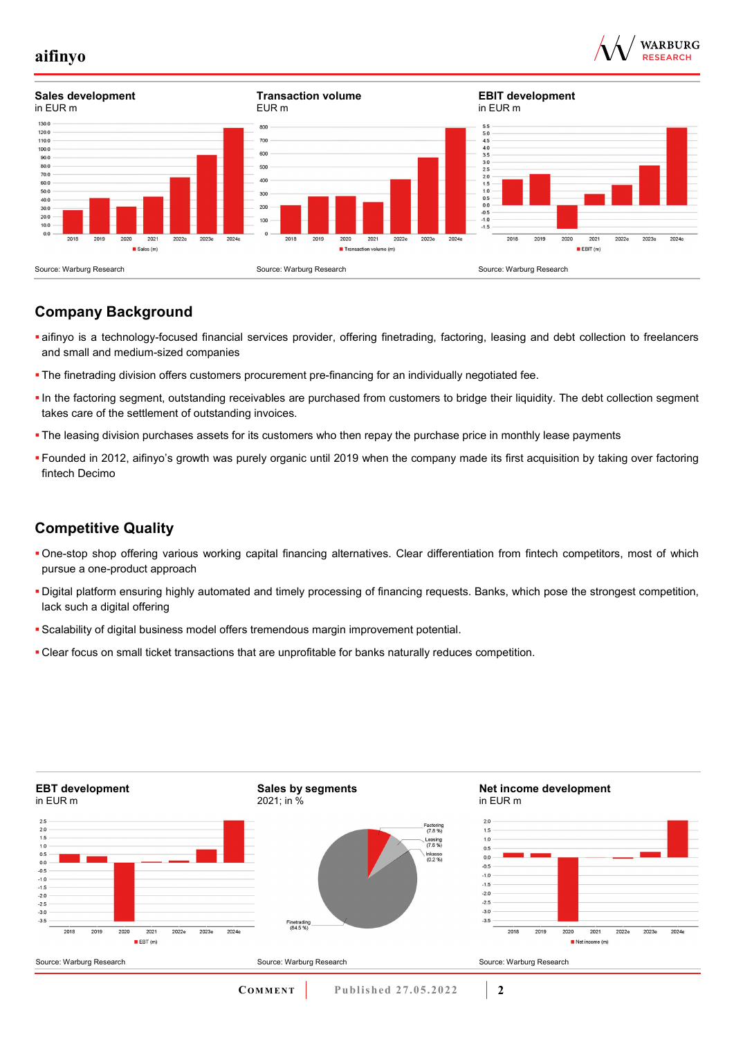



## **Company Background**

- aifinyo is a technology-focused financial services provider, offering finetrading, factoring, leasing and debt collection to freelancers and small and medium-sized companies
- The finetrading division offers customers procurement pre-financing for an individually negotiated fee.
- In the factoring segment, outstanding receivables are purchased from customers to bridge their liquidity. The debt collection segment takes care of the settlement of outstanding invoices.
- The leasing division purchases assets for its customers who then repay the purchase price in monthly lease payments
- Founded in 2012, aifinyo's growth was purely organic until 2019 when the company made its first acquisition by taking over factoring fintech Decimo

## **Competitive Quality**

- One-stop shop offering various working capital financing alternatives. Clear differentiation from fintech competitors, most of which pursue a one-product approach
- Digital platform ensuring highly automated and timely processing of financing requests. Banks, which pose the strongest competition, lack such a digital offering
- Scalability of digital business model offers tremendous margin improvement potential.
- Clear focus on small ticket transactions that are unprofitable for banks naturally reduces competition.

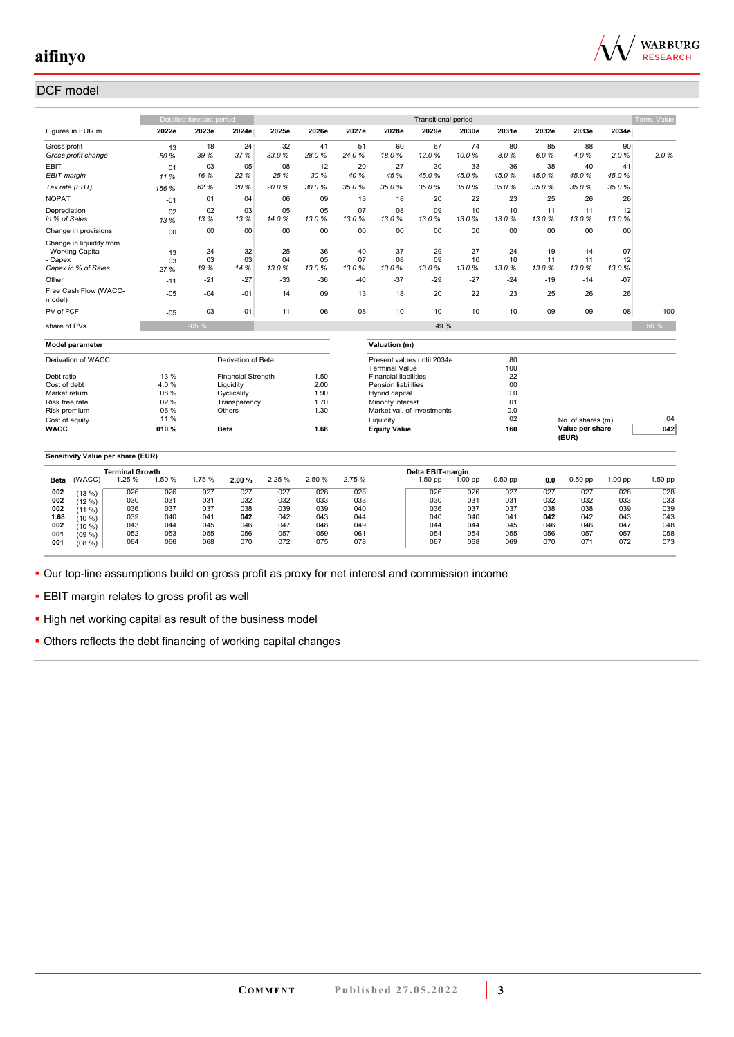

## DCF model

|                                                                                 |                  | Detailed forecast period |                             |                   |                   |                   |                                     | <b>Transitional period</b> |                   |                   |                   |                   |                   | Term. Value |
|---------------------------------------------------------------------------------|------------------|--------------------------|-----------------------------|-------------------|-------------------|-------------------|-------------------------------------|----------------------------|-------------------|-------------------|-------------------|-------------------|-------------------|-------------|
| Figures in EUR m                                                                | 2022e            | 2023e                    | 2024e                       | 2025e             | 2026e             | 2027e             | 2028e                               | 2029e                      | 2030e             | 2031e             | 2032e             | 2033e             | 2034e             |             |
| Gross profit<br>Gross profit change                                             | 13<br>50 %       | 18<br>39 %               | 24<br>37 %                  | 32<br>33.0%       | 41<br>28.0%       | 51<br>24.0%       | 60<br>18.0%                         | 67<br>12.0%                | 74<br>10.0%       | 80<br>8.0%        | 85<br>6.0%        | 88<br>4.0%        | 90<br>2.0%        | 2.0%        |
| <b>EBIT</b><br>EBIT-margin                                                      | 01<br>11 %       | 03<br>16 %               | 05<br>22 %                  | 08<br>25 %        | 12<br>30%         | 20<br>40 %        | 27<br>45 %                          | 30<br>45.0%                | 33<br>45.0%       | 36<br>45.0%       | 38<br>45.0%       | 40<br>45.0%       | 41<br>45.0%       |             |
| Tax rate (EBT)                                                                  | 156 %            | 62%                      | 20 %                        | 20.0%             | 30.0%             | 35.0%             | 35.0%                               | 35.0%                      | 35.0%             | 35.0%             | 35.0%             | 35.0%             | 35.0%             |             |
| <b>NOPAT</b>                                                                    | $-01$            | 01                       | 04                          | 06                | 09                | 13                | 18                                  | 20                         | 22                | 23                | 25                | 26                | 26                |             |
| Depreciation<br>in % of Sales                                                   | 02<br>13%        | 02<br>13%                | 03<br>13%                   | 05<br>14.0%       | 05<br>13.0%       | 07<br>13.0%       | 08<br>13.0%                         | 09<br>13.0%                | 10<br>13.0%       | 10<br>13.0%       | 11<br>13.0%       | 11<br>13.0%       | 12<br>13.0%       |             |
| Change in provisions                                                            | 00               | 00                       | 00                          | 00                | 00                | 00                | 00                                  | 00                         | 00                | 00                | 00                | 00                | 00                |             |
| Change in liquidity from<br>- Working Capital<br>- Capex<br>Capex in % of Sales | 13<br>03<br>27 % | 24<br>03<br>19 %         | 32<br>03<br>14 %            | 25<br>04<br>13.0% | 36<br>05<br>13.0% | 40<br>07<br>13.0% | 37<br>08<br>13.0%                   | 29<br>09<br>13.0%          | 27<br>10<br>13.0% | 24<br>10<br>13.0% | 19<br>11<br>13.0% | 14<br>11<br>13.0% | 07<br>12<br>13.0% |             |
| Other                                                                           | $-11$            | $-21$                    | $-27$                       | $-33$             | -36               | $-40$             | $-37$                               | $-29$                      | $-27$             | $-24$             | $-19$             | $-14$             | $-07$             |             |
| Free Cash Flow (WACC-<br>model)                                                 | $-05$            | $-04$                    | $-01$                       | 14                | 09                | 13                | 18                                  | 20                         | 22                | 23                | 25                | 26                | 26                |             |
| PV of FCF                                                                       | $-05$            | $-0.3$                   | $-01$                       | 11                | 06                | 08                | 10                                  | 10                         | 10                | 10                | 09                | 09                | 08                | 100         |
| share of PVs                                                                    |                  | $-05%$                   |                             |                   |                   |                   |                                     | 49 %                       |                   |                   |                   |                   |                   | 56 %        |
| <b>Model parameter</b>                                                          |                  |                          |                             |                   |                   |                   | Valuation (m)                       |                            |                   |                   |                   |                   |                   |             |
|                                                                                 |                  |                          |                             |                   |                   |                   |                                     |                            |                   |                   |                   |                   |                   |             |
| Derivation of WACC:                                                             |                  |                          | Derivation of Beta:         |                   |                   |                   | <b>Terminal Value</b>               | Present values until 2034e |                   | 80<br>100         |                   |                   |                   |             |
| Debt ratio                                                                      | 13 %             |                          | <b>Financial Strength</b>   |                   | 1.50              |                   | <b>Financial liabilities</b>        |                            |                   | 22                |                   |                   |                   |             |
| Cost of debt                                                                    | 4.0%             |                          | Liquidity                   |                   | 2.00              |                   | <b>Pension liabilities</b>          |                            |                   | 00                |                   |                   |                   |             |
| Market return<br>Risk free rate                                                 | 08 %<br>02%      |                          | Cyclicality<br>Transparency |                   | 1.90<br>1.70      |                   | Hybrid capital<br>Minority interest |                            |                   | 0.0<br>01         |                   |                   |                   |             |
| Risk premium                                                                    | 06 %             |                          | Others                      |                   | 1.30              |                   |                                     | Market val. of investments |                   | 0.0               |                   |                   |                   |             |
| Cost of equity                                                                  | 11 %             |                          |                             |                   |                   |                   | Liquidity                           |                            |                   | 02                |                   | No. of shares (m) |                   | 04          |
| <b>WACC</b>                                                                     | 010%             |                          | <b>Beta</b>                 |                   | 1.68              |                   | <b>Equity Value</b>                 |                            |                   | 160               |                   | Value per share   |                   | 042         |
|                                                                                 |                  |                          |                             |                   |                   |                   |                                     |                            |                   |                   |                   | (EUR)             |                   |             |
| Sensitivity Value per share (EUR)                                               |                  |                          |                             |                   |                   |                   |                                     |                            |                   |                   |                   |                   |                   |             |
| <b>Terminal Growth</b>                                                          |                  |                          |                             |                   |                   |                   |                                     | Delta EBIT-margin          |                   |                   |                   |                   |                   |             |
| 1.25 %<br>(WACC)<br>Beta                                                        | 1.50 %           | 1.75 %                   | 2.00%                       | 2.25 %            | 2.50%             | 2.75%             |                                     | $-1.50$ pp                 | $-1.00$ pp        | $-0.50$ pp        | 0.0               | $0.50$ pp         | 1.00 pp           | 1.50 pp     |
| 026<br>002<br>(13%)                                                             | 026              | 027                      | 027                         | 027               | 028               | 028               |                                     | 026                        | 026               | 027               | 027               | 027               | 028               | 028         |
| 002<br>030<br>(12 %)                                                            | 031              | 031                      | 032                         | 032               | 033               | 033               |                                     | 030                        | 031               | 031               | 032               | 032               | 033               | 033         |
| 036<br>002<br>(11 %)                                                            | 037              | 037                      | 038                         | 039               | 039               | 040               |                                     | 036                        | 037               | 037               | 038               | 038               | 039               | 039         |
| 1.68<br>039<br>(10 %)<br>043<br>002                                             | 040<br>044       | 041<br>045               | 042<br>046                  | 042<br>047        | 043<br>048        | 044<br>049        |                                     | 040<br>044                 | 040<br>044        | 041<br>045        | 042<br>046        | 042<br>046        | 043<br>047        | 043<br>048  |
| (10 %)<br>052<br>001<br>(09, % )                                                | 053              | 055                      | 056                         | 057               | 059               | 061               |                                     | 054                        | 054               | 055               | 056               | 057               | 057               | 058         |
| 001<br>064<br>(08 %)                                                            | 066              | 068                      | 070                         | 072               | 075               | 078               |                                     | 067                        | 068               | 069               | 070               | 071               | 072               | 073         |

Our top-line assumptions build on gross profit as proxy for net interest and commission income

**EBIT** margin relates to gross profit as well

**.** High net working capital as result of the business model

Others reflects the debt financing of working capital changes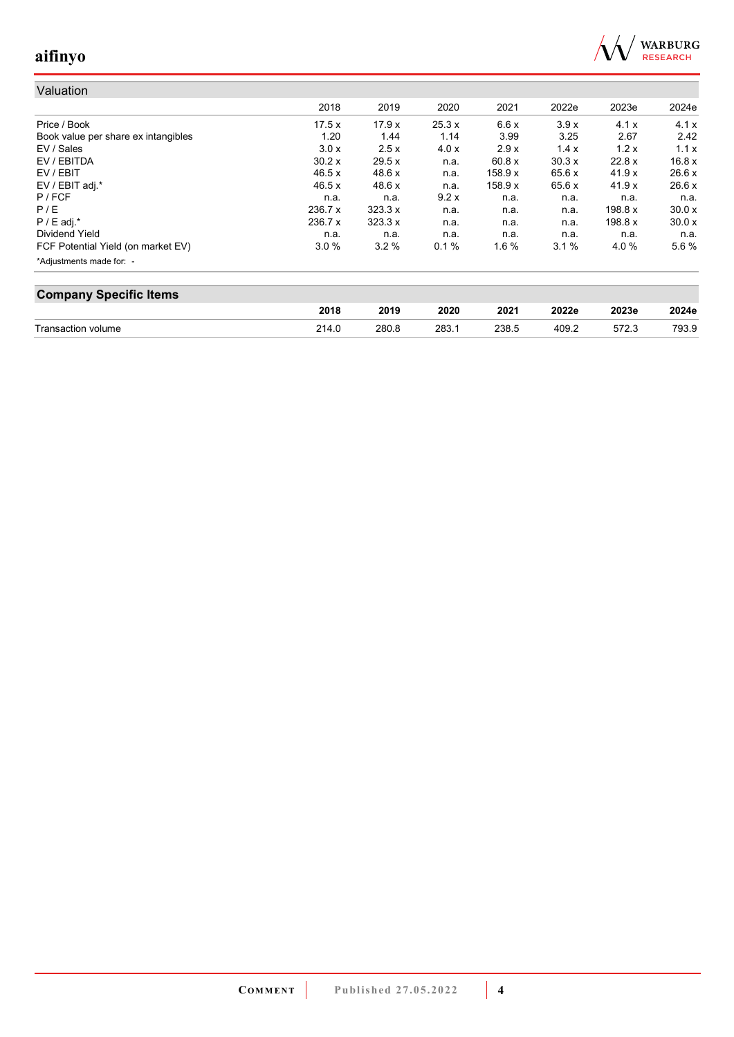

| Valuation                           |         |                |       |         |        |         |        |
|-------------------------------------|---------|----------------|-------|---------|--------|---------|--------|
|                                     | 2018    | 2019           | 2020  | 2021    | 2022e  | 2023e   | 2024e  |
| Price / Book                        | 17.5x   | 17.9x          | 25.3x | 6.6x    | 3.9x   | 4.1x    | 4.1x   |
| Book value per share ex intangibles | 1.20    | 1.44           | 1.14  | 3.99    | 3.25   | 2.67    | 2.42   |
| EV / Sales                          | 3.0x    | 2.5x           | 4.0x  | 2.9x    | 1.4x   | 1.2x    | 1.1x   |
| EV / EBITDA                         | 30.2x   | 29.5 x         | n.a.  | 60.8 x  | 30.3x  | 22.8 x  | 16.8x  |
| EV / EBIT                           | 46.5 x  | 48.6 x         | n.a.  | 158.9 x | 65.6x  | 41.9x   | 26.6x  |
| EV / EBIT adj.*                     | 46.5 x  | 48.6 x         | n.a.  | 158.9 x | 65.6 x | 41.9x   | 26.6x  |
| $P$ / FCF                           | n.a.    | n.a.           | 9.2x  | n.a.    | n.a.   | n.a.    | n.a.   |
| P/E                                 | 236.7 x | $323.3 \times$ | n.a.  | n.a.    | n.a.   | 198.8 x | 30.0 x |
| $P / E$ adj.*                       | 236.7 x | 323.3 x        | n.a.  | n.a.    | n.a.   | 198.8 x | 30.0 x |
| Dividend Yield                      | n.a.    | n.a.           | n.a.  | n.a.    | n.a.   | n.a.    | n.a.   |
| FCF Potential Yield (on market EV)  | 3.0%    | 3.2%           | 0.1%  | 1.6%    | 3.1%   | 4.0%    | 5.6%   |
| *Adjustments made for: -            |         |                |       |         |        |         |        |

| <b>Company Specific Items</b> |       |       |      |       |       |       |       |  |  |  |  |
|-------------------------------|-------|-------|------|-------|-------|-------|-------|--|--|--|--|
|                               | 2018  | 2019  | 2020 | 2021  | 2022e | 2023e | 2024e |  |  |  |  |
| Transaction volume            | 214.0 | 280.8 | 283. | 238.5 | 409.2 |       | 793.9 |  |  |  |  |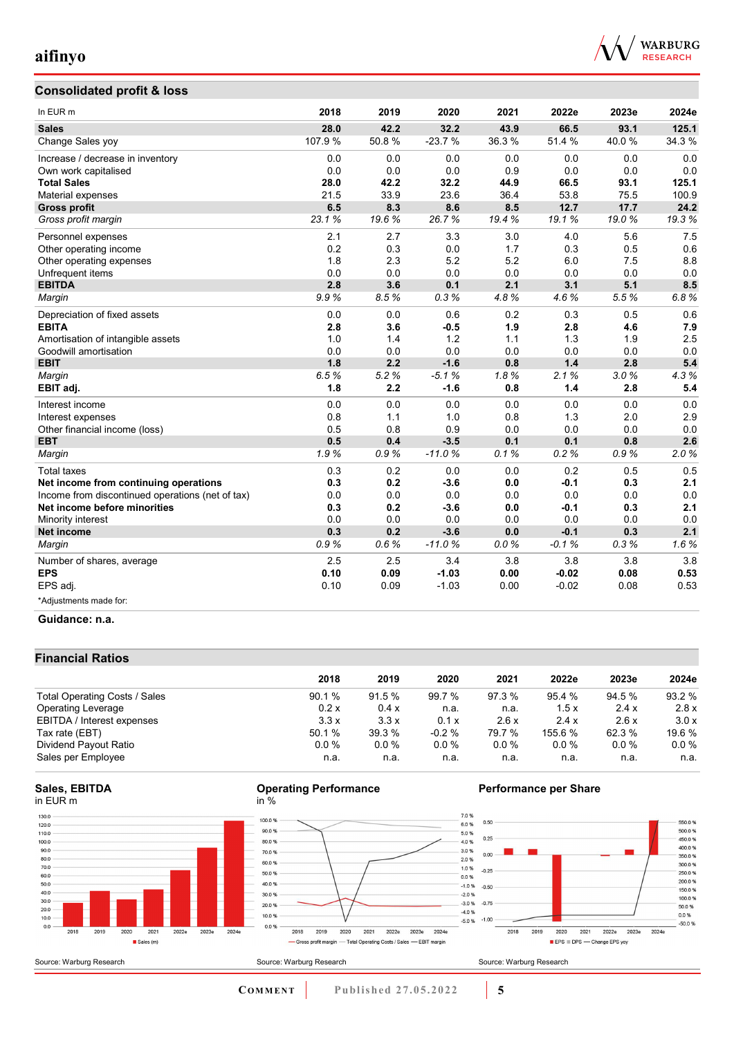

## **Consolidated profit & loss**

| In EUR <sub>m</sub>                              | 2018    | 2019  | 2020     | 2021  | 2022e   | 2023e | 2024e |
|--------------------------------------------------|---------|-------|----------|-------|---------|-------|-------|
| <b>Sales</b>                                     | 28.0    | 42.2  | 32.2     | 43.9  | 66.5    | 93.1  | 125.1 |
| Change Sales yoy                                 | 107.9 % | 50.8% | $-23.7%$ | 36.3% | 51.4 %  | 40.0% | 34.3% |
| Increase / decrease in inventory                 | 0.0     | 0.0   | 0.0      | 0.0   | 0.0     | 0.0   | 0.0   |
| Own work capitalised                             | 0.0     | 0.0   | 0.0      | 0.9   | 0.0     | 0.0   | 0.0   |
| <b>Total Sales</b>                               | 28.0    | 42.2  | 32.2     | 44.9  | 66.5    | 93.1  | 125.1 |
| Material expenses                                | 21.5    | 33.9  | 23.6     | 36.4  | 53.8    | 75.5  | 100.9 |
| <b>Gross profit</b>                              | 6.5     | 8.3   | 8.6      | 8.5   | 12.7    | 17.7  | 24.2  |
| Gross profit margin                              | 23.1%   | 19.6% | 26.7%    | 19.4% | 19.1%   | 19.0% | 19.3% |
| Personnel expenses                               | 2.1     | 2.7   | 3.3      | 3.0   | 4.0     | 5.6   | 7.5   |
| Other operating income                           | 0.2     | 0.3   | 0.0      | 1.7   | 0.3     | 0.5   | 0.6   |
| Other operating expenses                         | 1.8     | 2.3   | 5.2      | 5.2   | 6.0     | 7.5   | 8.8   |
| Unfrequent items                                 | 0.0     | 0.0   | 0.0      | 0.0   | 0.0     | 0.0   | 0.0   |
| <b>EBITDA</b>                                    | 2.8     | 3.6   | 0.1      | 2.1   | 3.1     | 5.1   | 8.5   |
| Margin                                           | 9.9%    | 8.5%  | 0.3%     | 4.8%  | 4.6%    | 5.5%  | 6.8%  |
| Depreciation of fixed assets                     | 0.0     | 0.0   | 0.6      | 0.2   | 0.3     | 0.5   | 0.6   |
| <b>EBITA</b>                                     | 2.8     | 3.6   | $-0.5$   | 1.9   | 2.8     | 4.6   | 7.9   |
| Amortisation of intangible assets                | 1.0     | 1.4   | 1.2      | 1.1   | 1.3     | 1.9   | 2.5   |
| Goodwill amortisation                            | 0.0     | 0.0   | 0.0      | 0.0   | 0.0     | 0.0   | 0.0   |
| <b>EBIT</b>                                      | 1.8     | 2.2   | $-1.6$   | 0.8   | 1.4     | 2.8   | 5.4   |
| Margin                                           | 6.5%    | 5.2%  | $-5.1%$  | 1.8%  | 2.1%    | 3.0%  | 4.3%  |
| EBIT adj.                                        | 1.8     | 2.2   | $-1.6$   | 0.8   | 1.4     | 2.8   | 5.4   |
| Interest income                                  | 0.0     | 0.0   | 0.0      | 0.0   | 0.0     | 0.0   | 0.0   |
| Interest expenses                                | 0.8     | 1.1   | 1.0      | 0.8   | 1.3     | 2.0   | 2.9   |
| Other financial income (loss)                    | 0.5     | 0.8   | 0.9      | 0.0   | 0.0     | 0.0   | 0.0   |
| <b>EBT</b>                                       | 0.5     | 0.4   | $-3.5$   | 0.1   | 0.1     | 0.8   | 2.6   |
| Margin                                           | 1.9%    | 0.9%  | $-11.0%$ | 0.1%  | 0.2%    | 0.9%  | 2.0%  |
| <b>Total taxes</b>                               | 0.3     | 0.2   | 0.0      | 0.0   | 0.2     | 0.5   | 0.5   |
| Net income from continuing operations            | 0.3     | 0.2   | $-3.6$   | 0.0   | $-0.1$  | 0.3   | 2.1   |
| Income from discontinued operations (net of tax) | 0.0     | 0.0   | 0.0      | 0.0   | 0.0     | 0.0   | 0.0   |
| Net income before minorities                     | 0.3     | 0.2   | $-3.6$   | 0.0   | $-0.1$  | 0.3   | 2.1   |
| Minority interest                                | 0.0     | 0.0   | 0.0      | 0.0   | 0.0     | 0.0   | 0.0   |
| Net income                                       | 0.3     | 0.2   | $-3.6$   | 0.0   | $-0.1$  | 0.3   | 2.1   |
| Margin                                           | 0.9%    | 0.6%  | $-11.0%$ | 0.0%  | $-0.1%$ | 0.3%  | 1.6%  |
| Number of shares, average                        | 2.5     | 2.5   | 3.4      | 3.8   | 3.8     | 3.8   | 3.8   |
| <b>EPS</b>                                       | 0.10    | 0.09  | $-1.03$  | 0.00  | $-0.02$ | 0.08  | 0.53  |
| EPS adj.                                         | 0.10    | 0.09  | $-1.03$  | 0.00  | $-0.02$ | 0.08  | 0.53  |
| *Adjustments made for:                           |         |       |          |       |         |       |       |

#### **Guidance: n.a.**

### **Financial Ratios**

|                               | 2018    | 2019   | 2020      | 2021     | 2022e   | 2023e   | 2024e   |
|-------------------------------|---------|--------|-----------|----------|---------|---------|---------|
| Total Operating Costs / Sales | 90.1%   | 91.5 % | 99.7 %    | 97.3 %   | 95.4 %  | 94.5 %  | 93.2 %  |
| <b>Operating Leverage</b>     | 0.2x    | 0.4 x  | n.a.      | n.a.     | 1.5x    | 2.4x    | 2.8x    |
| EBITDA / Interest expenses    | 3.3x    | 3.3x   | 0.1 x     | 2.6x     | 2.4x    | 2.6x    | 3.0x    |
| Tax rate (EBT)                | 50.1 %  | 39.3 % | $-0.2 \%$ | 79.7 %   | 155.6 % | 62.3 %  | 19.6 %  |
| Dividend Payout Ratio         | $0.0\%$ | 0.0%   | 0.0%      | $0.0 \%$ | 0.0%    | $0.0\%$ | $0.0\%$ |
| Sales per Employee            | n.a.    | n.a.   | n.a.      | n.a.     | n.a.    | n.a.    | n.a.    |

#### **Sales, EBITDA** in EUR m



#### **Operating Performance** in %



## **Performance per Share**



**COMMENT Published 27.05.2022 5**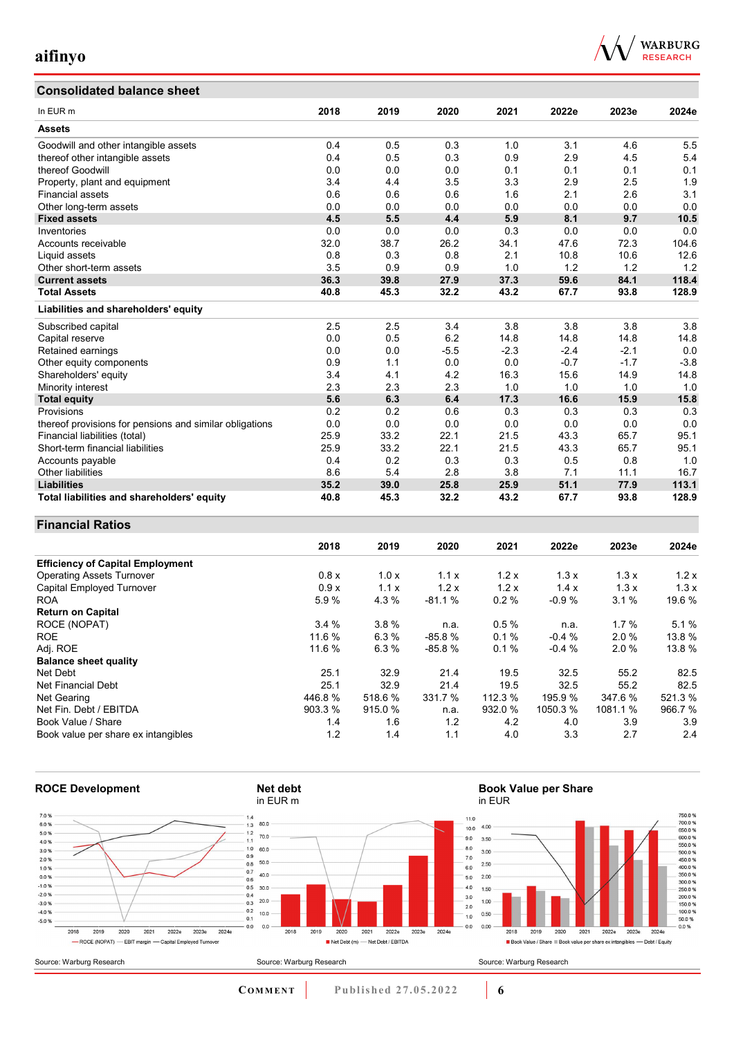# **Consolidated balance sheet**



| Consonuateu Dalance Sheet                               |      |      |        |        |        |        |        |
|---------------------------------------------------------|------|------|--------|--------|--------|--------|--------|
| In EUR <sub>m</sub>                                     | 2018 | 2019 | 2020   | 2021   | 2022e  | 2023e  | 2024e  |
| <b>Assets</b>                                           |      |      |        |        |        |        |        |
| Goodwill and other intangible assets                    | 0.4  | 0.5  | 0.3    | 1.0    | 3.1    | 4.6    | 5.5    |
| thereof other intangible assets                         | 0.4  | 0.5  | 0.3    | 0.9    | 2.9    | 4.5    | 5.4    |
| thereof Goodwill                                        | 0.0  | 0.0  | 0.0    | 0.1    | 0.1    | 0.1    | 0.1    |
| Property, plant and equipment                           | 3.4  | 4.4  | 3.5    | 3.3    | 2.9    | 2.5    | 1.9    |
| <b>Financial assets</b>                                 | 0.6  | 0.6  | 0.6    | 1.6    | 2.1    | 2.6    | 3.1    |
| Other long-term assets                                  | 0.0  | 0.0  | 0.0    | 0.0    | 0.0    | 0.0    | 0.0    |
| <b>Fixed assets</b>                                     | 4.5  | 5.5  | 4.4    | 5.9    | 8.1    | 9.7    | 10.5   |
| Inventories                                             | 0.0  | 0.0  | 0.0    | 0.3    | 0.0    | 0.0    | 0.0    |
| Accounts receivable                                     | 32.0 | 38.7 | 26.2   | 34.1   | 47.6   | 72.3   | 104.6  |
| Liquid assets                                           | 0.8  | 0.3  | 0.8    | 2.1    | 10.8   | 10.6   | 12.6   |
| Other short-term assets                                 | 3.5  | 0.9  | 0.9    | 1.0    | 1.2    | 1.2    | 1.2    |
| <b>Current assets</b>                                   | 36.3 | 39.8 | 27.9   | 37.3   | 59.6   | 84.1   | 118.4  |
| <b>Total Assets</b>                                     | 40.8 | 45.3 | 32.2   | 43.2   | 67.7   | 93.8   | 128.9  |
| Liabilities and shareholders' equity                    |      |      |        |        |        |        |        |
| Subscribed capital                                      | 2.5  | 2.5  | 3.4    | 3.8    | 3.8    | 3.8    | 3.8    |
| Capital reserve                                         | 0.0  | 0.5  | 6.2    | 14.8   | 14.8   | 14.8   | 14.8   |
| Retained earnings                                       | 0.0  | 0.0  | $-5.5$ | $-2.3$ | $-2.4$ | $-2.1$ | 0.0    |
| Other equity components                                 | 0.9  | 1.1  | 0.0    | 0.0    | $-0.7$ | $-1.7$ | $-3.8$ |
| Shareholders' equity                                    | 3.4  | 4.1  | 4.2    | 16.3   | 15.6   | 14.9   | 14.8   |
| Minority interest                                       | 2.3  | 2.3  | 2.3    | 1.0    | 1.0    | 1.0    | 1.0    |
| <b>Total equity</b>                                     | 5.6  | 6.3  | 6.4    | 17.3   | 16.6   | 15.9   | 15.8   |
| Provisions                                              | 0.2  | 0.2  | 0.6    | 0.3    | 0.3    | 0.3    | 0.3    |
| thereof provisions for pensions and similar obligations | 0.0  | 0.0  | 0.0    | 0.0    | 0.0    | 0.0    | 0.0    |
| Financial liabilities (total)                           | 25.9 | 33.2 | 22.1   | 21.5   | 43.3   | 65.7   | 95.1   |
| Short-term financial liabilities                        | 25.9 | 33.2 | 22.1   | 21.5   | 43.3   | 65.7   | 95.1   |
| Accounts payable                                        | 0.4  | 0.2  | 0.3    | 0.3    | 0.5    | 0.8    | 1.0    |
| Other liabilities                                       | 8.6  | 5.4  | 2.8    | 3.8    | 7.1    | 11.1   | 16.7   |
| <b>Liabilities</b>                                      | 35.2 | 39.0 | 25.8   | 25.9   | 51.1   | 77.9   | 113.1  |
| Total liabilities and shareholders' equity              | 40.8 | 45.3 | 32.2   | 43.2   | 67.7   | 93.8   | 128.9  |

#### **Financial Ratios**

|                                         | 2018    | 2019   | 2020     | 2021    | 2022e    | 2023e   | 2024e  |
|-----------------------------------------|---------|--------|----------|---------|----------|---------|--------|
| <b>Efficiency of Capital Employment</b> |         |        |          |         |          |         |        |
| <b>Operating Assets Turnover</b>        | 0.8x    | 1.0x   | 1.1x     | 1.2x    | 1.3x     | 1.3x    | 1.2x   |
| <b>Capital Employed Turnover</b>        | 0.9x    | 1.1x   | 1.2x     | 1.2x    | 1.4x     | 1.3x    | 1.3x   |
| <b>ROA</b>                              | 5.9%    | 4.3%   | $-81.1%$ | 0.2%    | $-0.9%$  | 3.1%    | 19.6 % |
| <b>Return on Capital</b>                |         |        |          |         |          |         |        |
| ROCE (NOPAT)                            | 3.4%    | 3.8%   | n.a.     | 0.5%    | n.a.     | 1.7%    | 5.1%   |
| <b>ROE</b>                              | 11.6 %  | 6.3%   | $-85.8%$ | 0.1%    | $-0.4%$  | 2.0%    | 13.8 % |
| Adj. ROE                                | 11.6 %  | 6.3%   | $-85.8%$ | 0.1%    | $-0.4%$  | 2.0%    | 13.8 % |
| <b>Balance sheet quality</b>            |         |        |          |         |          |         |        |
| Net Debt                                | 25.1    | 32.9   | 21.4     | 19.5    | 32.5     | 55.2    | 82.5   |
| Net Financial Debt                      | 25.1    | 32.9   | 21.4     | 19.5    | 32.5     | 55.2    | 82.5   |
| Net Gearing                             | 446.8%  | 518.6% | 331.7 %  | 112.3 % | 195.9 %  | 347.6%  | 521.3% |
| Net Fin. Debt / EBITDA                  | 903.3 % | 915.0% | n.a.     | 932.0 % | 1050.3 % | 1081.1% | 966.7% |
| Book Value / Share                      | 1.4     | 1.6    | 1.2      | 4.2     | 4.0      | 3.9     | 3.9    |
| Book value per share ex intangibles     | 1.2     | 1.4    | 1.1      | 4.0     | 3.3      | 2.7     | 2.4    |



**Book Value per Share**



**COMMENT** Published 27.05.2022 **6**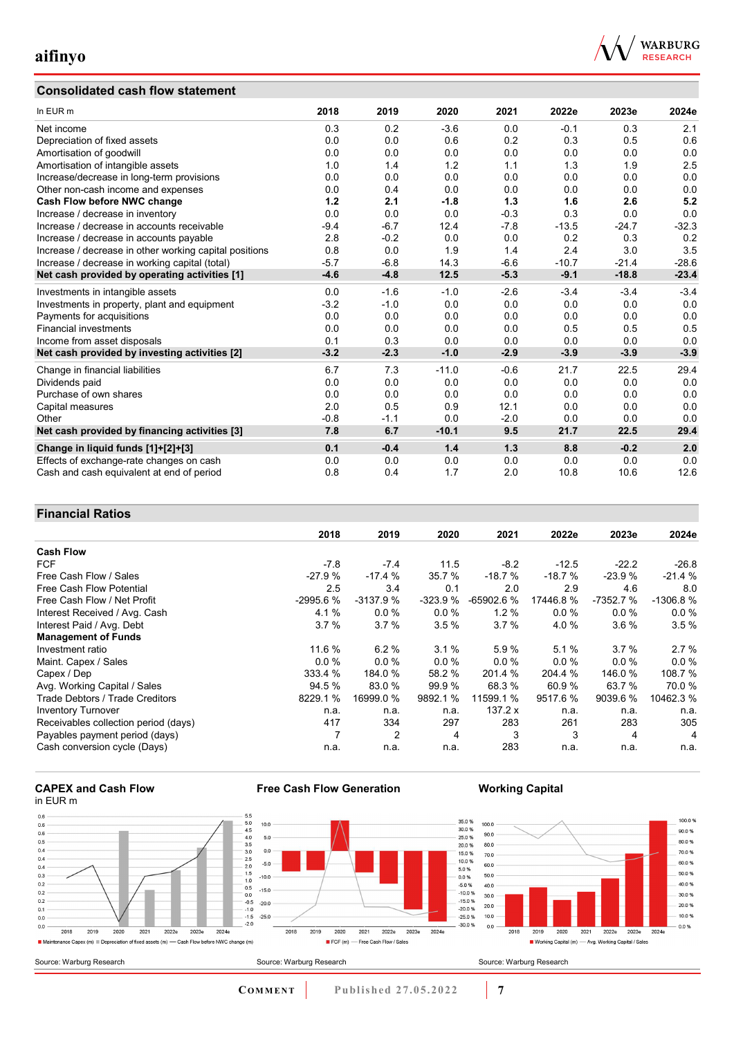## **Consolidated cash flow statement**



| In EUR m                                               | 2018   | 2019   | 2020    | 2021   | 2022e   | 2023e   | 2024e   |
|--------------------------------------------------------|--------|--------|---------|--------|---------|---------|---------|
| Net income                                             | 0.3    | 0.2    | $-3.6$  | 0.0    | $-0.1$  | 0.3     | 2.1     |
| Depreciation of fixed assets                           | 0.0    | 0.0    | 0.6     | 0.2    | 0.3     | 0.5     | 0.6     |
| Amortisation of goodwill                               | 0.0    | 0.0    | 0.0     | 0.0    | 0.0     | 0.0     | 0.0     |
| Amortisation of intangible assets                      | 1.0    | 1.4    | 1.2     | 1.1    | 1.3     | 1.9     | 2.5     |
| Increase/decrease in long-term provisions              | 0.0    | 0.0    | 0.0     | 0.0    | 0.0     | 0.0     | 0.0     |
| Other non-cash income and expenses                     | 0.0    | 0.4    | 0.0     | 0.0    | 0.0     | 0.0     | 0.0     |
| Cash Flow before NWC change                            | 1.2    | 2.1    | $-1.8$  | 1.3    | 1.6     | 2.6     | 5.2     |
| Increase / decrease in inventory                       | 0.0    | 0.0    | 0.0     | $-0.3$ | 0.3     | 0.0     | 0.0     |
| Increase / decrease in accounts receivable             | $-9.4$ | $-6.7$ | 12.4    | $-7.8$ | $-13.5$ | $-24.7$ | $-32.3$ |
| Increase / decrease in accounts payable                | 2.8    | $-0.2$ | 0.0     | 0.0    | 0.2     | 0.3     | 0.2     |
| Increase / decrease in other working capital positions | 0.8    | 0.0    | 1.9     | 1.4    | 2.4     | 3.0     | 3.5     |
| Increase / decrease in working capital (total)         | $-5.7$ | $-6.8$ | 14.3    | $-6.6$ | $-10.7$ | $-21.4$ | $-28.6$ |
| Net cash provided by operating activities [1]          | $-4.6$ | $-4.8$ | 12.5    | $-5.3$ | $-9.1$  | $-18.8$ | $-23.4$ |
| Investments in intangible assets                       | 0.0    | $-1.6$ | $-1.0$  | $-2.6$ | $-3.4$  | $-3.4$  | $-3.4$  |
| Investments in property, plant and equipment           | $-3.2$ | $-1.0$ | 0.0     | 0.0    | 0.0     | 0.0     | 0.0     |
| Payments for acquisitions                              | 0.0    | 0.0    | 0.0     | 0.0    | 0.0     | 0.0     | 0.0     |
| <b>Financial investments</b>                           | 0.0    | 0.0    | 0.0     | 0.0    | 0.5     | 0.5     | 0.5     |
| Income from asset disposals                            | 0.1    | 0.3    | 0.0     | 0.0    | 0.0     | 0.0     | 0.0     |
| Net cash provided by investing activities [2]          | $-3.2$ | $-2.3$ | $-1.0$  | $-2.9$ | $-3.9$  | $-3.9$  | $-3.9$  |
| Change in financial liabilities                        | 6.7    | 7.3    | $-11.0$ | $-0.6$ | 21.7    | 22.5    | 29.4    |
| Dividends paid                                         | 0.0    | 0.0    | 0.0     | 0.0    | 0.0     | 0.0     | 0.0     |
| Purchase of own shares                                 | 0.0    | 0.0    | 0.0     | 0.0    | 0.0     | 0.0     | 0.0     |
| Capital measures                                       | 2.0    | 0.5    | 0.9     | 12.1   | 0.0     | 0.0     | 0.0     |
| Other                                                  | $-0.8$ | $-1.1$ | 0.0     | $-2.0$ | 0.0     | 0.0     | 0.0     |
| Net cash provided by financing activities [3]          | 7.8    | 6.7    | $-10.1$ | 9.5    | 21.7    | 22.5    | 29.4    |
| Change in liquid funds [1]+[2]+[3]                     | 0.1    | $-0.4$ | 1.4     | 1.3    | 8.8     | $-0.2$  | 2.0     |
| Effects of exchange-rate changes on cash               | 0.0    | 0.0    | 0.0     | 0.0    | 0.0     | 0.0     | 0.0     |
| Cash and cash equivalent at end of period              | 0.8    | 0.4    | 1.7     | 2.0    | 10.8    | 10.6    | 12.6    |

### **Financial Ratios**

|                                      | 2018       | 2019           | 2020      | 2021        | 2022e    | 2023e     | 2024e          |
|--------------------------------------|------------|----------------|-----------|-------------|----------|-----------|----------------|
| <b>Cash Flow</b>                     |            |                |           |             |          |           |                |
| <b>FCF</b>                           | $-7.8$     | $-7.4$         | 11.5      | $-8.2$      | $-12.5$  | $-22.2$   | $-26.8$        |
| Free Cash Flow / Sales               | $-27.9%$   | $-17.4%$       | 35.7%     | $-18.7%$    | $-18.7%$ | $-23.9%$  | $-21.4%$       |
| <b>Free Cash Flow Potential</b>      | 2.5        | 3.4            | 0.1       | 2.0         | 2.9      | 4.6       | 8.0            |
| Free Cash Flow / Net Profit          | $-2995.6%$ | $-3137.9%$     | $-323.9%$ | $-65902.6%$ | 17446.8% | -7352.7 % | $-1306.8%$     |
| Interest Received / Avg. Cash        | 4.1%       | $0.0\%$        | $0.0 \%$  | 1.2%        | $0.0\%$  | 0.0%      | 0.0%           |
| Interest Paid / Avg. Debt            | 3.7%       | 3.7%           | 3.5%      | 3.7%        | 4.0%     | $3.6\%$   | 3.5%           |
| <b>Management of Funds</b>           |            |                |           |             |          |           |                |
| Investment ratio                     | 11.6 %     | 6.2%           | 3.1%      | 5.9%        | 5.1%     | 3.7%      | 2.7%           |
| Maint. Capex / Sales                 | 0.0%       | 0.0%           | $0.0 \%$  | 0.0%        | 0.0%     | 0.0%      | 0.0%           |
| Capex / Dep                          | 333.4 %    | 184.0 %        | 58.2 %    | 201.4 %     | 204.4 %  | 146.0%    | 108.7 %        |
| Avg. Working Capital / Sales         | 94.5 %     | 83.0 %         | 99.9 %    | 68.3 %      | 60.9%    | 63.7 %    | 70.0%          |
| Trade Debtors / Trade Creditors      | 8229.1 %   | 16999.0 %      | 9892.1 %  | 11599.1 %   | 9517.6%  | 9039.6 %  | 10462.3 %      |
| <b>Inventory Turnover</b>            | n.a.       | n.a.           | n.a.      | 137.2 x     | n.a.     | n.a.      | n.a.           |
| Receivables collection period (days) | 417        | 334            | 297       | 283         | 261      | 283       | 305            |
| Payables payment period (days)       | 7          | $\overline{2}$ | 4         | 3           | 3        | 4         | $\overline{4}$ |
| Cash conversion cycle (Days)         | n.a.       | n.a.           | n.a.      | 283         | n.a.     | n.a.      | n.a.           |

#### **CAPEX and Cash Flow** in EUR m



**Free Cash Flow Generation**

## **Working Capital**



**COMMENT** Published 27.05.2022 **7**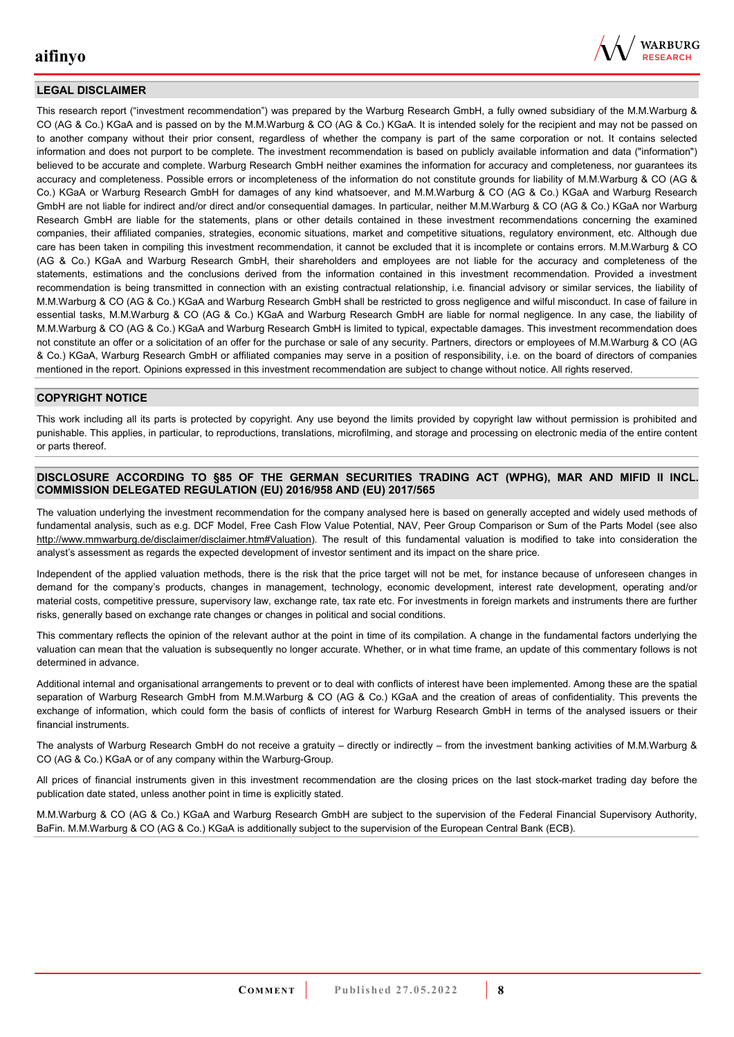

#### **LEGAL DISCLAIMER**

This research report ("investment recommendation") was prepared by the Warburg Research GmbH, a fully owned subsidiary of the M.M.Warburg & CO (AG & Co.) KGaA and is passed on by the M.M.Warburg & CO (AG & Co.) KGaA. It is intended solely for the recipient and may not be passed on to another company without their prior consent, regardless of whether the company is part of the same corporation or not. It contains selected information and does not purport to be complete. The investment recommendation is based on publicly available information and data ("information") believed to be accurate and complete. Warburg Research GmbH neither examines the information for accuracy and completeness, nor guarantees its accuracy and completeness. Possible errors or incompleteness of the information do not constitute grounds for liability of M.M.Warburg & CO (AG & Co.) KGaA or Warburg Research GmbH for damages of any kind whatsoever, and M.M.Warburg & CO (AG & Co.) KGaA and Warburg Research GmbH are not liable for indirect and/or direct and/or consequential damages. In particular, neither M.M.Warburg & CO (AG & Co.) KGaA nor Warburg Research GmbH are liable for the statements, plans or other details contained in these investment recommendations concerning the examined companies, their affiliated companies, strategies, economic situations, market and competitive situations, regulatory environment, etc. Although due care has been taken in compiling this investment recommendation, it cannot be excluded that it is incomplete or contains errors. M.M.Warburg & CO (AG & Co.) KGaA and Warburg Research GmbH, their shareholders and employees are not liable for the accuracy and completeness of the statements, estimations and the conclusions derived from the information contained in this investment recommendation. Provided a investment recommendation is being transmitted in connection with an existing contractual relationship, i.e. financial advisory or similar services, the liability of M.M.Warburg & CO (AG & Co.) KGaA and Warburg Research GmbH shall be restricted to gross negligence and wilful misconduct. In case of failure in essential tasks, M.M.Warburg & CO (AG & Co.) KGaA and Warburg Research GmbH are liable for normal negligence. In any case, the liability of M.M.Warburg & CO (AG & Co.) KGaA and Warburg Research GmbH is limited to typical, expectable damages. This investment recommendation does not constitute an offer or a solicitation of an offer for the purchase or sale of any security. Partners, directors or employees of M.M.Warburg & CO (AG & Co.) KGaA, Warburg Research GmbH or affiliated companies may serve in a position of responsibility, i.e. on the board of directors of companies mentioned in the report. Opinions expressed in this investment recommendation are subject to change without notice. All rights reserved.

#### **COPYRIGHT NOTICE**

This work including all its parts is protected by copyright. Any use beyond the limits provided by copyright law without permission is prohibited and punishable. This applies, in particular, to reproductions, translations, microfilming, and storage and processing on electronic media of the entire content or parts thereof.

#### **DISCLOSURE ACCORDING TO §85 OF THE GERMAN SECURITIES TRADING ACT (WPHG), MAR AND MIFID II INCL. COMMISSION DELEGATED REGULATION (EU) 2016/958 AND (EU) 2017/565**

The valuation underlying the investment recommendation for the company analysed here is based on generally accepted and widely used methods of fundamental analysis, such as e.g. DCF Model, Free Cash Flow Value Potential, NAV, Peer Group Comparison or Sum of the Parts Model (see also [http://www.mmwarburg.de/disclaimer/disclaimer.htm#Valuation\)](http://www.mmwarburg.de/disclaimer/disclaimer.htm#Valuation). The result of this fundamental valuation is modified to take into consideration the analyst's assessment as regards the expected development of investor sentiment and its impact on the share price.

Independent of the applied valuation methods, there is the risk that the price target will not be met, for instance because of unforeseen changes in demand for the company's products, changes in management, technology, economic development, interest rate development, operating and/or material costs, competitive pressure, supervisory law, exchange rate, tax rate etc. For investments in foreign markets and instruments there are further risks, generally based on exchange rate changes or changes in political and social conditions.

This commentary reflects the opinion of the relevant author at the point in time of its compilation. A change in the fundamental factors underlying the valuation can mean that the valuation is subsequently no longer accurate. Whether, or in what time frame, an update of this commentary follows is not determined in advance.

Additional internal and organisational arrangements to prevent or to deal with conflicts of interest have been implemented. Among these are the spatial separation of Warburg Research GmbH from M.M.Warburg & CO (AG & Co.) KGaA and the creation of areas of confidentiality. This prevents the exchange of information, which could form the basis of conflicts of interest for Warburg Research GmbH in terms of the analysed issuers or their financial instruments.

The analysts of Warburg Research GmbH do not receive a gratuity – directly or indirectly – from the investment banking activities of M.M.Warburg & CO (AG & Co.) KGaA or of any company within the Warburg-Group.

All prices of financial instruments given in this investment recommendation are the closing prices on the last stock-market trading day before the publication date stated, unless another point in time is explicitly stated.

M.M.Warburg & CO (AG & Co.) KGaA and Warburg Research GmbH are subject to the supervision of the Federal Financial Supervisory Authority, BaFin. M.M.Warburg & CO (AG & Co.) KGaA is additionally subject to the supervision of the European Central Bank (ECB).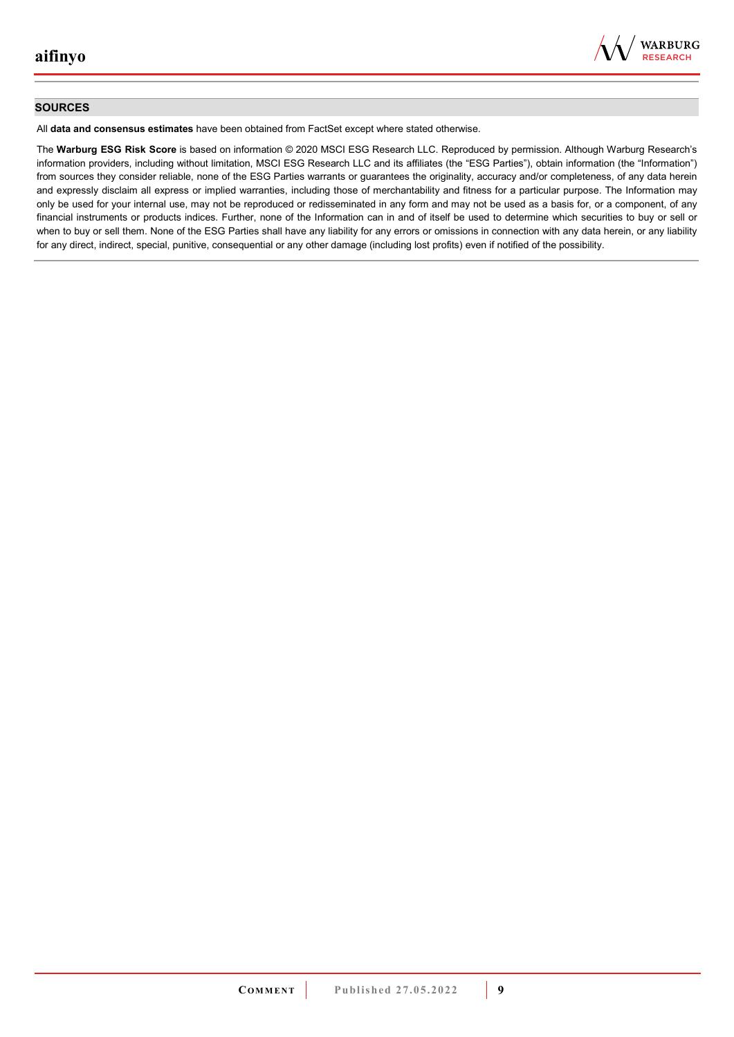

#### **SOURCES**

All **data and consensus estimates** have been obtained from FactSet except where stated otherwise.

The **Warburg ESG Risk Score** is based on information © 2020 MSCI ESG Research LLC. Reproduced by permission. Although Warburg Research's information providers, including without limitation, MSCI ESG Research LLC and its affiliates (the "ESG Parties"), obtain information (the "Information") from sources they consider reliable, none of the ESG Parties warrants or guarantees the originality, accuracy and/or completeness, of any data herein and expressly disclaim all express or implied warranties, including those of merchantability and fitness for a particular purpose. The Information may only be used for your internal use, may not be reproduced or redisseminated in any form and may not be used as a basis for, or a component, of any financial instruments or products indices. Further, none of the Information can in and of itself be used to determine which securities to buy or sell or when to buy or sell them. None of the ESG Parties shall have any liability for any errors or omissions in connection with any data herein, or any liability for any direct, indirect, special, punitive, consequential or any other damage (including lost profits) even if notified of the possibility.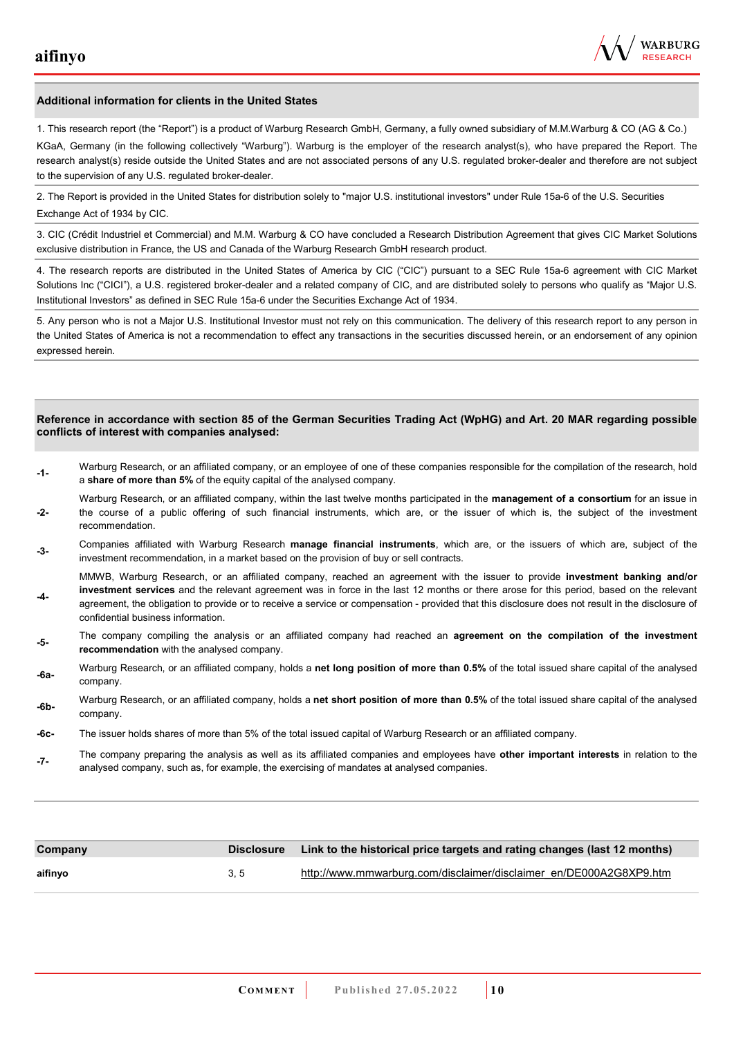

#### **Additional information for clients in the United States**

1. This research report (the "Report") is a product of Warburg Research GmbH, Germany, a fully owned subsidiary of M.M.Warburg & CO (AG & Co.)

KGaA, Germany (in the following collectively "Warburg"). Warburg is the employer of the research analyst(s), who have prepared the Report. The research analyst(s) reside outside the United States and are not associated persons of any U.S. regulated broker-dealer and therefore are not subject to the supervision of any U.S. regulated broker-dealer.

2. The Report is provided in the United States for distribution solely to "major U.S. institutional investors" under Rule 15a-6 of the U.S. Securities Exchange Act of 1934 by CIC.

3. CIC (Crédit Industriel et Commercial) and M.M. Warburg & CO have concluded a Research Distribution Agreement that gives CIC Market Solutions exclusive distribution in France, the US and Canada of the Warburg Research GmbH research product.

4. The research reports are distributed in the United States of America by CIC ("CIC") pursuant to a SEC Rule 15a-6 agreement with CIC Market Solutions Inc ("CICI"), a U.S. registered broker-dealer and a related company of CIC, and are distributed solely to persons who qualify as "Major U.S. Institutional Investors" as defined in SEC Rule 15a-6 under the Securities Exchange Act of 1934.

5. Any person who is not a Major U.S. Institutional Investor must not rely on this communication. The delivery of this research report to any person in the United States of America is not a recommendation to effect any transactions in the securities discussed herein, or an endorsement of any opinion expressed herein.

#### **Reference in accordance with section 85 of the German Securities Trading Act (WpHG) and Art. 20 MAR regarding possible conflicts of interest with companies analysed:**

- **-1-** Warburg Research, or an affiliated company, or an employee of one of these companies responsible for the compilation of the research, hold a **share of more than 5%** of the equity capital of the analysed company.
- **-2-**  Warburg Research, or an affiliated company, within the last twelve months participated in the **management of a consortium** for an issue in the course of a public offering of such financial instruments, which are, or the issuer of which is, the subject of the investment recommendation.
- **-3-** Companies affiliated with Warburg Research **manage financial instruments**, which are, or the issuers of which are, subject of the investment recommendation, in a market based on the provision of buy or sell contracts.

MMWB, Warburg Research, or an affiliated company, reached an agreement with the issuer to provide **investment banking and/or investment services** and the relevant agreement was in force in the last 12 months or there arose for this period, based on the relevant

- **-4**  agreement, the obligation to provide or to receive a service or compensation - provided that this disclosure does not result in the disclosure of confidential business information.
- **-5-** The company compiling the analysis or an affiliated company had reached an **agreement on the compilation of the investment recommendation** with the analysed company.
- **-6a-** Warburg Research, or an affiliated company, holds a **net long position of more than 0.5%** of the total issued share capital of the analysed company.
- **-6b-** Warburg Research, or an affiliated company, holds a **net short position of more than 0.5%** of the total issued share capital of the analysed company.
- **-6c-** The issuer holds shares of more than 5% of the total issued capital of Warburg Research or an affiliated company.
- **-7-** The company preparing the analysis as well as its affiliated companies and employees have **other important interests** in relation to the analysed company, such as, for example, the exercising of mandates at analysed companies.

| Company |     | Disclosure Link to the historical price targets and rating changes (last 12 months) |
|---------|-----|-------------------------------------------------------------------------------------|
| aifinyo | 3.5 | http://www.mmwarburg.com/disclaimer/disclaimer_en/DE000A2G8XP9.htm                  |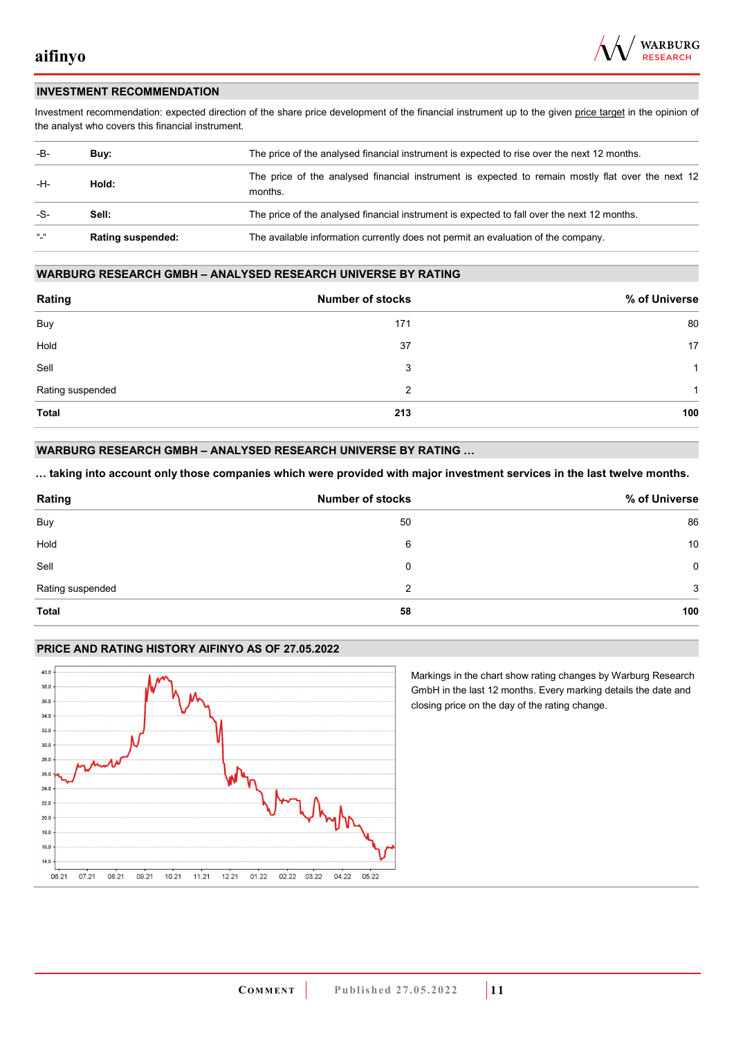

#### **INVESTMENT RECOMMENDATION**

Investment recommendation: expected direction of the share price development of the financial instrument up to the given price target in the opinion of the analyst who covers this financial instrument.

| -B-             | Buy:                     | The price of the analysed financial instrument is expected to rise over the next 12 months.                  |
|-----------------|--------------------------|--------------------------------------------------------------------------------------------------------------|
| -H-             | Hold:                    | The price of the analysed financial instrument is expected to remain mostly flat over the next 12<br>months. |
| -S-             | Sell:                    | The price of the analysed financial instrument is expected to fall over the next 12 months.                  |
| $\frac{16}{16}$ | <b>Rating suspended:</b> | The available information currently does not permit an evaluation of the company.                            |

#### **WARBURG RESEARCH GMBH – ANALYSED RESEARCH UNIVERSE BY RATING**

| Rating           | <b>Number of stocks</b> | % of Universe |
|------------------|-------------------------|---------------|
| Buy              | 171                     | 80            |
| Hold             | 37                      | 17            |
| Sell             | 3                       | -1            |
| Rating suspended | 2                       | 1             |
| <b>Total</b>     | 213                     | 100           |

#### **WARBURG RESEARCH GMBH – ANALYSED RESEARCH UNIVERSE BY RATING …**

**… taking into account only those companies which were provided with major investment services in the last twelve months.** 

| Rating           | <b>Number of stocks</b> | % of Universe |
|------------------|-------------------------|---------------|
| Buy              | 50                      | 86            |
| Hold             | 6                       | 10            |
| Sell             | 0                       | 0             |
| Rating suspended | 2                       | 3             |
| <b>Total</b>     | 58                      | 100           |

#### **PRICE AND RATING HISTORY AIFINYO AS OF 27.05.2022**



Markings in the chart show rating changes by Warburg Research GmbH in the last 12 months. Every marking details the date and closing price on the day of the rating change.